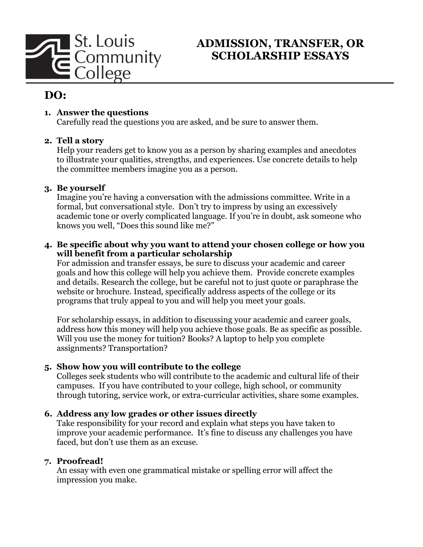

## **ADMISSION, TRANSFER, OR SCHOLARSHIP ESSAYS**

# **DO:**

## **1. Answer the questions**

Carefully read the questions you are asked, and be sure to answer them.

### **2. Tell a story**

Help your readers get to know you as a person by sharing examples and anecdotes to illustrate your qualities, strengths, and experiences. Use concrete details to help the committee members imagine you as a person.

### **3. Be yourself**

Imagine you're having a conversation with the admissions committee. Write in a formal, but conversational style. Don't try to impress by using an excessively academic tone or overly complicated language. If you're in doubt, ask someone who knows you well, "Does this sound like me?"

### **4. Be specific about why you want to attend your chosen college or how you will benefit from a particular scholarship**

For admission and transfer essays, be sure to discuss your academic and career goals and how this college will help you achieve them. Provide concrete examples and details. Research the college, but be careful not to just quote or paraphrase the website or brochure. Instead, specifically address aspects of the college or its programs that truly appeal to you and will help you meet your goals.

For scholarship essays, in addition to discussing your academic and career goals, address how this money will help you achieve those goals. Be as specific as possible. Will you use the money for tuition? Books? A laptop to help you complete assignments? Transportation?

## **5. Show how you will contribute to the college**

Colleges seek students who will contribute to the academic and cultural life of their campuses. If you have contributed to your college, high school, or community through tutoring, service work, or extra-curricular activities, share some examples.

## **6. Address any low grades or other issues directly**

Take responsibility for your record and explain what steps you have taken to improve your academic performance. It's fine to discuss any challenges you have faced, but don't use them as an excuse.

#### **7. Proofread!**

An essay with even one grammatical mistake or spelling error will affect the impression you make.